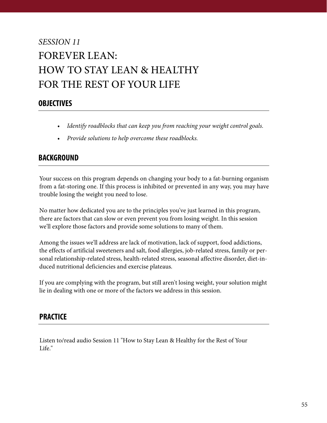# *SESSION 11* FOREVER LEAN: HOW TO STAY LEAN & HEALTHY FOR THE REST OF YOUR LIFE

## **OBJECTIVES**

- *Identify roadblocks that can keep you from reaching your weight control goals.*
- *Provide solutions to help overcome these roadblocks.*

## **BACKGROUND**

Your success on this program depends on changing your body to a fat-burning organism from a fat-storing one. If this process is inhibited or prevented in any way, you may have trouble losing the weight you need to lose.

No matter how dedicated you are to the principles you've just learned in this program, there are factors that can slow or even prevent you from losing weight. In this session we'll explore those factors and provide some solutions to many of them.

Among the issues we'll address are lack of motivation, lack of support, food addictions, the effects of artificial sweeteners and salt, food allergies, job-related stress, family or personal relationship-related stress, health-related stress, seasonal affective disorder, diet-induced nutritional deficiencies and exercise plateaus.

If you are complying with the program, but still aren't losing weight, your solution might lie in dealing with one or more of the factors we address in this session.

#### **PRACTICE**

Listen to/read audio Session 11 "How to Stay Lean & Healthy for the Rest of Your Life."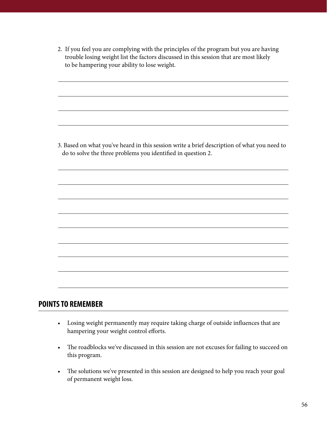2. If you feel you are complying with the principles of the program but you are having trouble losing weight list the factors discussed in this session that are most likely to be hampering your ability to lose weight.

3. Based on what you've heard in this session write a brief description of what you need to do to solve the three problems you identified in question 2.

#### **POINTS TO REMEMBER**

- Losing weight permanently may require taking charge of outside influences that are hampering your weight control efforts.
- The roadblocks we've discussed in this session are not excuses for failing to succeed on this program.
- The solutions we've presented in this session are designed to help you reach your goal of permanent weight loss.